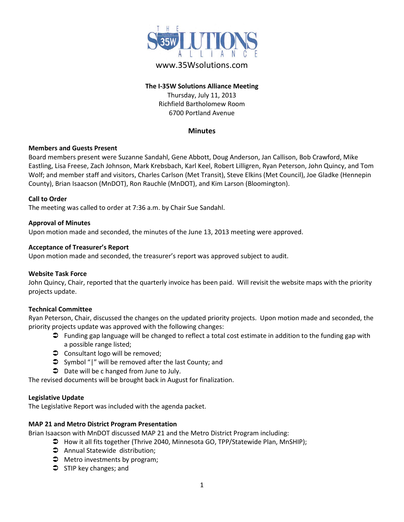

# www.35Wsolutions.com

# **The I-35W Solutions Alliance Meeting** Thursday, July 11, 2013 Richfield Bartholomew Room 6700 Portland Avenue

## **Minutes**

## **Members and Guests Present**

Board members present were Suzanne Sandahl, Gene Abbott, Doug Anderson, Jan Callison, Bob Crawford, Mike Eastling, Lisa Freese, Zach Johnson, Mark Krebsbach, Karl Keel, Robert Lilligren, Ryan Peterson, John Quincy, and Tom Wolf; and member staff and visitors, Charles Carlson (Met Transit), Steve Elkins (Met Council), Joe Gladke (Hennepin County), Brian Isaacson (MnDOT), Ron Rauchle (MnDOT), and Kim Larson (Bloomington).

### **Call to Order**

The meeting was called to order at 7:36 a.m. by Chair Sue Sandahl.

### **Approval of Minutes**

Upon motion made and seconded, the minutes of the June 13, 2013 meeting were approved.

### **Acceptance of Treasurer's Report**

Upon motion made and seconded, the treasurer's report was approved subject to audit.

#### **Website Task Force**

John Quincy, Chair, reported that the quarterly invoice has been paid. Will revisit the website maps with the priority projects update.

## **Technical Committee**

Ryan Peterson, Chair, discussed the changes on the updated priority projects. Upon motion made and seconded, the priority projects update was approved with the following changes:

- Funding gap language will be changed to reflect a total cost estimate in addition to the funding gap with a possible range listed;
- **◯** Consultant logo will be removed;
- Symbol "|" will be removed after the last County; and
- $\supset$  Date will be c hanged from June to July.

The revised documents will be brought back in August for finalization.

#### **Legislative Update**

The Legislative Report was included with the agenda packet.

## **MAP 21 and Metro District Program Presentation**

Brian Isaacson with MnDOT discussed MAP 21 and the Metro District Program including:

How it all fits together (Thrive 2040, Minnesota GO, TPP/Statewide Plan, MnSHIP);

- Annual Statewide distribution;
- $\supset$  Metro investments by program;
- $\supset$  STIP key changes; and